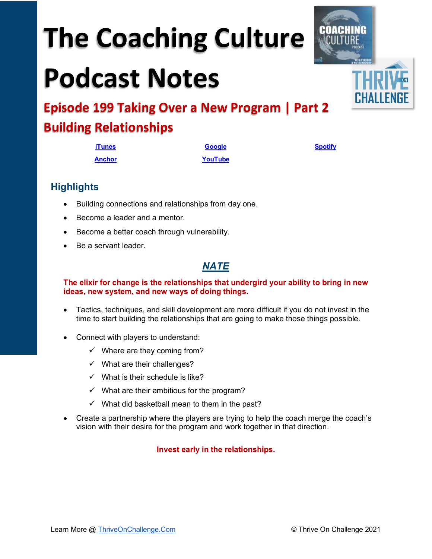# **The Coaching Culture**

## **Podcast Notes**



**Episode 199 Taking Over a New Program | Part 2 Building Relationships**

| <b>iTunes</b> | <b>Google</b> | <b>Spotify</b> |
|---------------|---------------|----------------|
| <b>Anchor</b> | YouTube       |                |

**Highlights**

- Building connections and relationships from day one.
- Become a leader and a mentor.
- Become a better coach through vulnerability.
- Be a servant leader.

## *NATE*

#### **The elixir for change is the relationships that undergird your ability to bring in new ideas, new system, and new ways of doing things.**

- Tactics, techniques, and skill development are more difficult if you do not invest in the time to start building the relationships that are going to make those things possible.
- Connect with players to understand:
	- $\checkmark$  Where are they coming from?
	- $\checkmark$  What are their challenges?
	- $\checkmark$  What is their schedule is like?
	- $\checkmark$  What are their ambitious for the program?
	- $\checkmark$  What did basketball mean to them in the past?
- Create a partnership where the players are trying to help the coach merge the coach's vision with their desire for the program and work together in that direction.

#### **Invest early in the relationships.**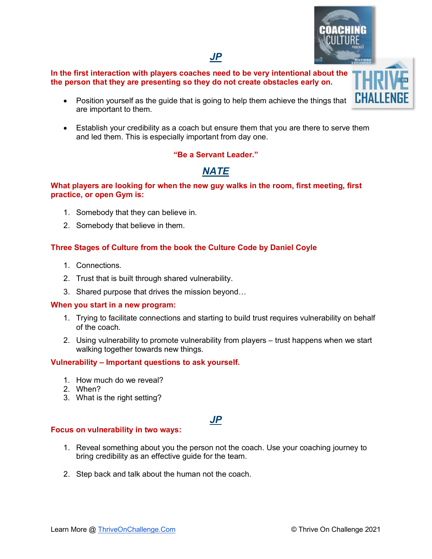### *JP*

#### **In the first interaction with players coaches need to be very intentional about the the person that they are presenting so they do not create obstacles early on.**

- Position yourself as the guide that is going to help them achieve the things that are important to them.
- Establish your credibility as a coach but ensure them that you are there to serve them and led them. This is especially important from day one.

#### **"Be a Servant Leader."**

## *NATE*

#### **What players are looking for when the new guy walks in the room, first meeting, first practice, or open Gym is:**

- 1. Somebody that they can believe in.
- 2. Somebody that believe in them.

#### **Three Stages of Culture from the book the Culture Code by Daniel Coyle**

- 1. Connections.
- 2. Trust that is built through shared vulnerability.
- 3. Shared purpose that drives the mission beyond…

#### **When you start in a new program:**

- 1. Trying to facilitate connections and starting to build trust requires vulnerability on behalf of the coach.
- 2. Using vulnerability to promote vulnerability from players trust happens when we start walking together towards new things.

#### **Vulnerability – Important questions to ask yourself.**

- 1. How much do we reveal?
- 2. When?
- 3. What is the right setting?

## *JP*

#### **Focus on vulnerability in two ways:**

- 1. Reveal something about you the person not the coach. Use your coaching journey to bring credibility as an effective guide for the team.
- 2. Step back and talk about the human not the coach.

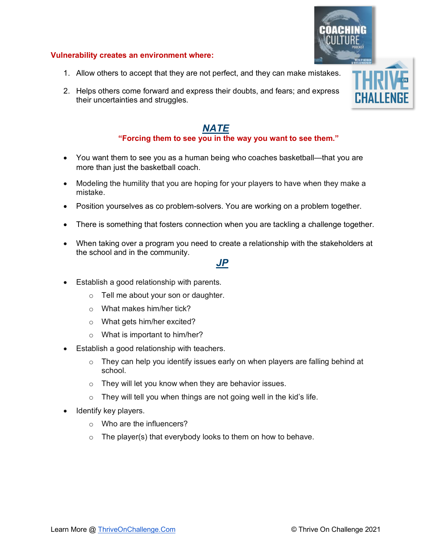#### **Vulnerability creates an environment where:**

- 1. Allow others to accept that they are not perfect, and they can make mistakes.
- 2. Helps others come forward and express their doubts, and fears; and express their uncertainties and struggles.

#### *NATE* **"Forcing them to see you in the way you want to see them."**

- You want them to see you as a human being who coaches basketball—that you are more than just the basketball coach.
- Modeling the humility that you are hoping for your players to have when they make a mistake.
- Position yourselves as co problem-solvers. You are working on a problem together.
- There is something that fosters connection when you are tackling a challenge together.
- When taking over a program you need to create a relationship with the stakeholders at the school and in the community.

#### *JP*

- Establish a good relationship with parents.
	- o Tell me about your son or daughter.
	- o What makes him/her tick?
	- o What gets him/her excited?
	- o What is important to him/her?
- Establish a good relationship with teachers.
	- $\circ$  They can help you identify issues early on when players are falling behind at school.
	- o They will let you know when they are behavior issues.
	- $\circ$  They will tell you when things are not going well in the kid's life.
- Identify key players.
	- o Who are the influencers?
	- $\circ$  The player(s) that everybody looks to them on how to behave.

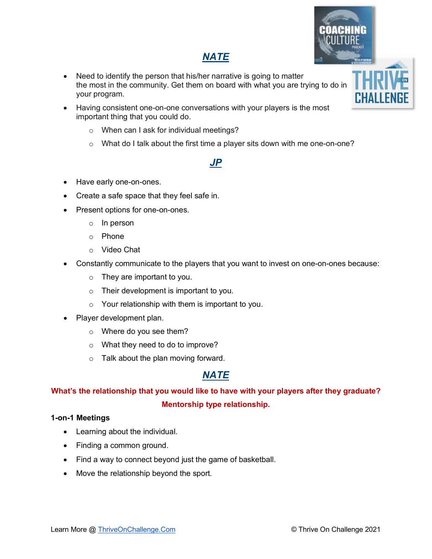## *NATE*

- Need to identify the person that his/her narrative is going to matter the most in the community. Get them on board with what you are trying to do in your program.
- Having consistent one-on-one conversations with your players is the most important thing that you could do.
	- o When can I ask for individual meetings?
	- o What do I talk about the first time a player sits down with me one-on-one?

## *JP*

- Have early one-on-ones.
- Create a safe space that they feel safe in.
- Present options for one-on-ones.
	- o In person
	- o Phone
	- o Video Chat
- Constantly communicate to the players that you want to invest on one-on-ones because:
	- $\circ$  They are important to you.
	- o Their development is important to you.
	- $\circ$  Your relationship with them is important to you.
- Player development plan.
	- $\circ$  Where do you see them?
	- o What they need to do to improve?
	- o Talk about the plan moving forward.

## *NATE*

## **What's the relationship that you would like to have with your players after they graduate? Mentorship type relationship.**

#### **1-on-1 Meetings**

- Learning about the individual.
- Finding a common ground.
- Find a way to connect beyond just the game of basketball.
- Move the relationship beyond the sport.